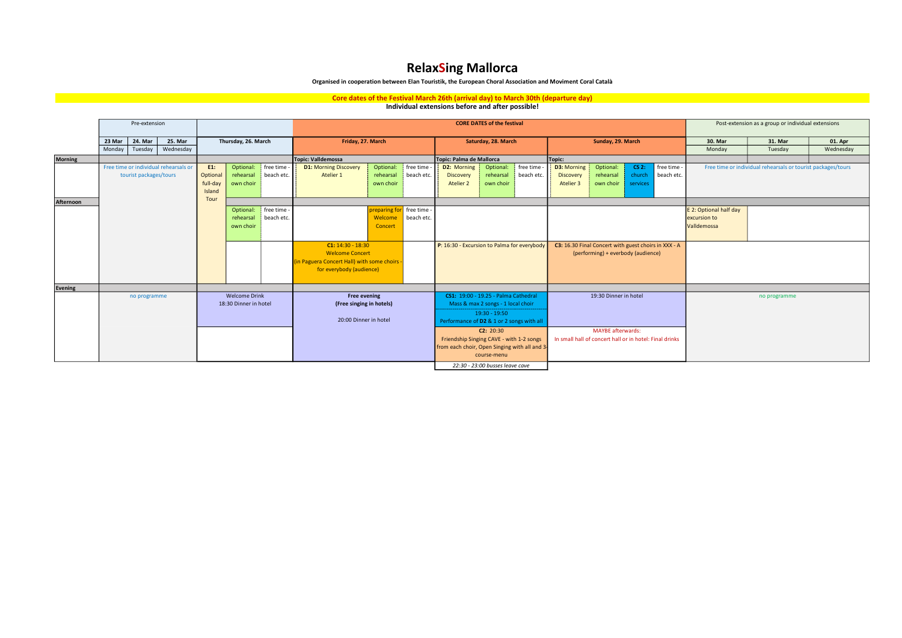# RelaxSing Mallorca

### Organised in cooperation between Elan Touristik, the European Choral Association and Moviment Coral Català

## Core dates of the Festival March 26th (arrival day) to March 30th (departure day)<br>Individual extensions before and after possible!

|                | Pre-extension                         |                        |                      |                               |                     |                                                        | <b>CORE DATES of the festival</b>             |                                             |                          |                                           |                                                      |            |                                                         |                                                              |          | Post-extension as a group or individual extensions |                        |           |         |
|----------------|---------------------------------------|------------------------|----------------------|-------------------------------|---------------------|--------------------------------------------------------|-----------------------------------------------|---------------------------------------------|--------------------------|-------------------------------------------|------------------------------------------------------|------------|---------------------------------------------------------|--------------------------------------------------------------|----------|----------------------------------------------------|------------------------|-----------|---------|
|                | 23 Mar                                | 24. Mar                | 25. Mar              |                               | Thursday, 26. March |                                                        | Friday, 27. March                             |                                             |                          |                                           | Saturday, 28. March                                  |            |                                                         | Sunday, 29. March                                            |          |                                                    | 30. Mar                | 31. Mar   | 01. Apr |
|                | Monday                                | Wednesdav<br>Tuesday   |                      |                               |                     |                                                        |                                               |                                             |                          |                                           |                                                      |            |                                                         |                                                              |          | Monday                                             | Tuesday                | Wednesday |         |
| <b>Morning</b> |                                       |                        |                      |                               |                     | Topic: Valldemossa                                     |                                               |                                             | Topic: Palma de Mallorca |                                           |                                                      | Topic:     |                                                         |                                                              |          |                                                    |                        |           |         |
|                | Free time or individual rehearsals or |                        |                      | free time<br>E1:<br>Optional: |                     | free time<br><b>D1: Morning Discovery</b><br>Optional: |                                               | free time<br>D2: Morning<br>Optional:       |                          |                                           | D3: Morning<br>Optional:<br>$CS2$ :<br>free time     |            |                                                         | Free time or individual rehearsals or tourist packages/tours |          |                                                    |                        |           |         |
|                |                                       | tourist packages/tours |                      | Optional                      | rehearsal           | beach etc.                                             | Atelier 1                                     | rehearsal                                   | beach etc.               | Discovery                                 | rehearsal                                            | beach etc. | Discovery                                               | rehearsal                                                    | church   | beach etc.                                         |                        |           |         |
|                |                                       |                        |                      | full-day                      | own choir           |                                                        |                                               | own choir                                   |                          | Atelier 2                                 | own choir                                            |            | Atelier 3                                               | own choir                                                    | services |                                                    |                        |           |         |
|                |                                       |                        |                      | Island                        |                     |                                                        |                                               |                                             |                          |                                           |                                                      |            |                                                         |                                                              |          |                                                    |                        |           |         |
| Afternoon      |                                       |                        |                      | Tour                          |                     |                                                        |                                               |                                             |                          |                                           |                                                      |            |                                                         |                                                              |          |                                                    |                        |           |         |
|                |                                       |                        |                      |                               | Optional:           | free time                                              |                                               | preparing for free time -                   |                          |                                           |                                                      |            |                                                         |                                                              |          |                                                    | E 2: Optional half day |           |         |
|                |                                       |                        |                      |                               | rehearsal           | beach etc.                                             |                                               | Welcome                                     | beach etc.               |                                           |                                                      |            |                                                         |                                                              |          |                                                    | excursion to           |           |         |
|                |                                       |                        |                      |                               | own choir           |                                                        |                                               | Concert                                     |                          |                                           |                                                      |            |                                                         |                                                              |          |                                                    | Valldemossa            |           |         |
|                |                                       |                        |                      |                               |                     |                                                        |                                               |                                             |                          |                                           |                                                      |            |                                                         |                                                              |          |                                                    |                        |           |         |
|                |                                       |                        |                      |                               |                     | $C1: 14:30 - 18:30$                                    |                                               | P: 16:30 - Excursion to Palma for everybody |                          |                                           | C3: 16.30 Final Concert with guest choirs in XXX - A |            |                                                         |                                                              |          |                                                    |                        |           |         |
|                |                                       |                        |                      |                               |                     | <b>Welcome Concert</b>                                 |                                               |                                             |                          |                                           | (performing) + everbody (audience)                   |            |                                                         |                                                              |          |                                                    |                        |           |         |
|                |                                       |                        |                      |                               |                     |                                                        | in Paguera Concert Hall) with some choirs     |                                             |                          |                                           |                                                      |            |                                                         |                                                              |          |                                                    |                        |           |         |
|                |                                       |                        |                      |                               |                     |                                                        | for everybody (audience)                      |                                             |                          |                                           |                                                      |            |                                                         |                                                              |          |                                                    |                        |           |         |
|                |                                       |                        |                      |                               |                     |                                                        |                                               |                                             |                          |                                           |                                                      |            |                                                         |                                                              |          |                                                    |                        |           |         |
| Evening        |                                       |                        | <b>Welcome Drink</b> |                               | <b>Free evening</b> |                                                        |                                               | CS1: 19:00 - 19.25 - Palma Cathedral        |                          |                                           | 19:30 Dinner in hotel                                |            |                                                         |                                                              |          |                                                    |                        |           |         |
|                | no programme                          |                        |                      | 18:30 Dinner in hotel         |                     | (Free singing in hotels)                               |                                               | Mass & max 2 songs - 1 local choir          |                          |                                           |                                                      |            |                                                         | no programme                                                 |          |                                                    |                        |           |         |
|                |                                       |                        |                      |                               |                     |                                                        |                                               |                                             |                          | $19:30 - 19:50$                           |                                                      |            |                                                         |                                                              |          |                                                    |                        |           |         |
|                |                                       |                        |                      |                               |                     |                                                        | 20:00 Dinner in hotel                         |                                             |                          | Performance of D2 & 1 or 2 songs with all |                                                      |            |                                                         |                                                              |          |                                                    |                        |           |         |
|                |                                       |                        |                      |                               |                     |                                                        |                                               |                                             |                          | C2: 20:30                                 |                                                      |            | <b>MAYBE</b> afterwards:                                |                                                              |          |                                                    |                        |           |         |
|                |                                       |                        |                      |                               |                     |                                                        |                                               |                                             |                          | Friendship Singing CAVE - with 1-2 songs  |                                                      |            | In small hall of concert hall or in hotel: Final drinks |                                                              |          |                                                    |                        |           |         |
|                |                                       |                        |                      |                               |                     |                                                        | from each choir, Open Singing with all and 3- |                                             |                          |                                           |                                                      |            |                                                         |                                                              |          |                                                    |                        |           |         |
|                |                                       |                        |                      |                               |                     |                                                        |                                               |                                             |                          |                                           | course-menu                                          |            |                                                         |                                                              |          |                                                    |                        |           |         |
|                |                                       |                        |                      |                               |                     |                                                        |                                               |                                             |                          |                                           | 22:30 - 23:00 busses leave cave                      |            |                                                         |                                                              |          |                                                    |                        |           |         |